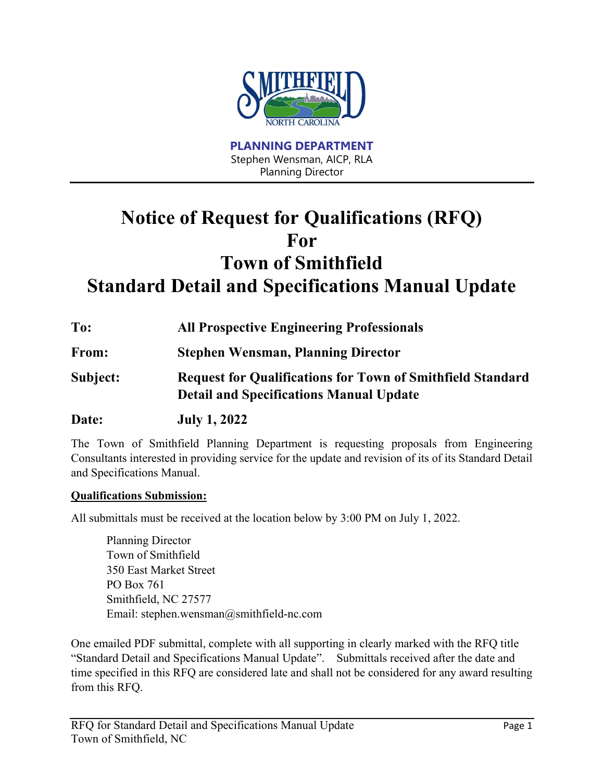

**PLANNING DEPARTMENT** Stephen Wensman, AICP, RLA Planning Director

# **Notice of Request for Qualifications (RFQ) For Town of Smithfield Standard Detail and Specifications Manual Update**

**To: All Prospective Engineering Professionals From: Stephen Wensman, Planning Director Subject: Request for Qualifications for Town of Smithfield Standard Detail and Specifications Manual Update Date: July 1, 2022**

The Town of Smithfield Planning Department is requesting proposals from Engineering Consultants interested in providing service for the update and revision of its of its Standard Detail and Specifications Manual.

#### **Qualifications Submission:**

All submittals must be received at the location below by 3:00 PM on July 1, 2022.

Planning Director Town of Smithfield 350 East Market Street PO Box 761 Smithfield, NC 27577 Email: stephen.wensman@smithfield-nc.com

One emailed PDF submittal, complete with all supporting in clearly marked with the RFQ title "Standard Detail and Specifications Manual Update". Submittals received after the date and time specified in this RFQ are considered late and shall not be considered for any award resulting from this RFQ.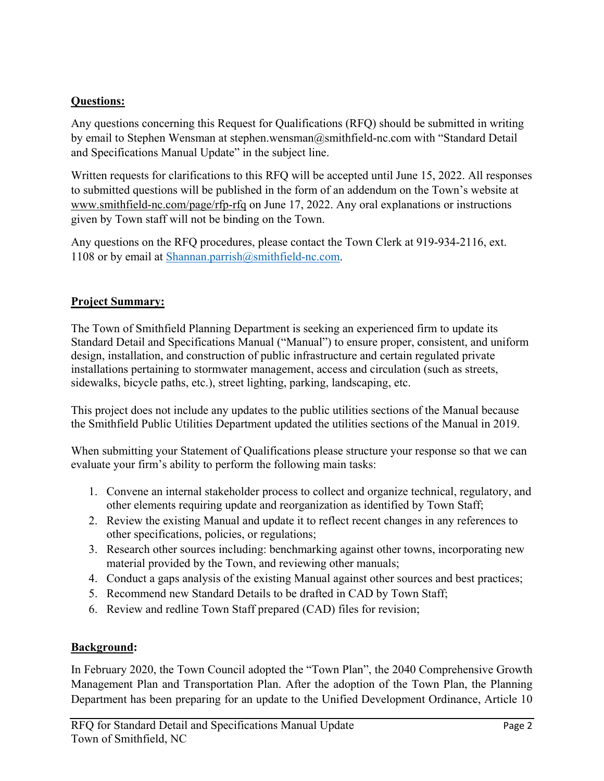# **Questions:**

Any questions concerning this Request for Qualifications (RFQ) should be submitted in writing by email to Stephen Wensman at stephen.wensman@smithfield-nc.com with "Standard Detail and Specifications Manual Update" in the subject line.

Written requests for clarifications to this RFQ will be accepted until June 15, 2022. All responses to submitted questions will be published in the form of an addendum on the Town's website at www.smithfield-nc.com/page/rfp-rfq on June 17, 2022. Any oral explanations or instructions given by Town staff will not be binding on the Town.

Any questions on the RFQ procedures, please contact the Town Clerk at 919-934-2116, ext. 1108 or by email at Shannan.parrish $@s$ mithfield-nc.com.

# **Project Summary:**

The Town of Smithfield Planning Department is seeking an experienced firm to update its Standard Detail and Specifications Manual ("Manual") to ensure proper, consistent, and uniform design, installation, and construction of public infrastructure and certain regulated private installations pertaining to stormwater management, access and circulation (such as streets, sidewalks, bicycle paths, etc.), street lighting, parking, landscaping, etc.

This project does not include any updates to the public utilities sections of the Manual because the Smithfield Public Utilities Department updated the utilities sections of the Manual in 2019.

When submitting your Statement of Qualifications please structure your response so that we can evaluate your firm's ability to perform the following main tasks:

- 1. Convene an internal stakeholder process to collect and organize technical, regulatory, and other elements requiring update and reorganization as identified by Town Staff;
- 2. Review the existing Manual and update it to reflect recent changes in any references to other specifications, policies, or regulations;
- 3. Research other sources including: benchmarking against other towns, incorporating new material provided by the Town, and reviewing other manuals;
- 4. Conduct a gaps analysis of the existing Manual against other sources and best practices;
- 5. Recommend new Standard Details to be drafted in CAD by Town Staff;
- 6. Review and redline Town Staff prepared (CAD) files for revision;

# **Background:**

In February 2020, the Town Council adopted the "Town Plan", the 2040 Comprehensive Growth Management Plan and Transportation Plan. After the adoption of the Town Plan, the Planning Department has been preparing for an update to the Unified Development Ordinance, Article 10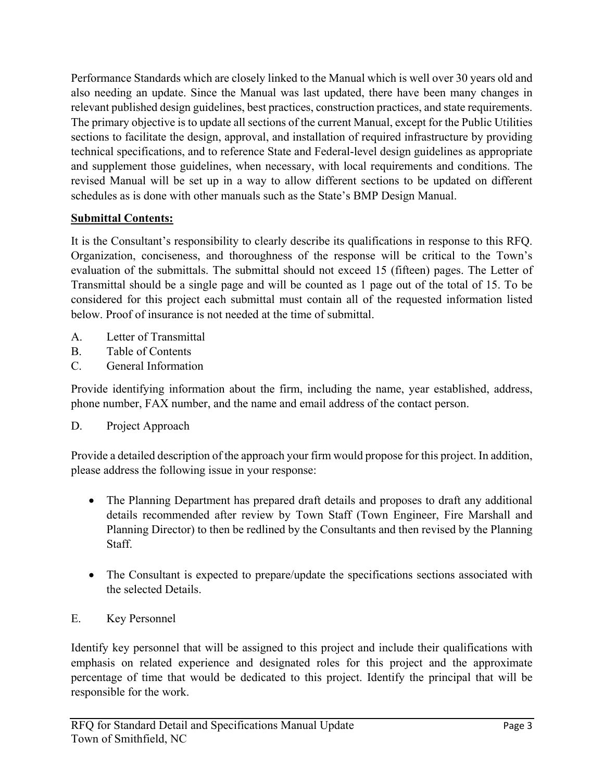Performance Standards which are closely linked to the Manual which is well over 30 years old and also needing an update. Since the Manual was last updated, there have been many changes in relevant published design guidelines, best practices, construction practices, and state requirements. The primary objective is to update all sections of the current Manual, except for the Public Utilities sections to facilitate the design, approval, and installation of required infrastructure by providing technical specifications, and to reference State and Federal-level design guidelines as appropriate and supplement those guidelines, when necessary, with local requirements and conditions. The revised Manual will be set up in a way to allow different sections to be updated on different schedules as is done with other manuals such as the State's BMP Design Manual.

# **Submittal Contents:**

It is the Consultant's responsibility to clearly describe its qualifications in response to this RFQ. Organization, conciseness, and thoroughness of the response will be critical to the Town's evaluation of the submittals. The submittal should not exceed 15 (fifteen) pages. The Letter of Transmittal should be a single page and will be counted as 1 page out of the total of 15. To be considered for this project each submittal must contain all of the requested information listed below. Proof of insurance is not needed at the time of submittal.

- A. Letter of Transmittal
- B. Table of Contents
- C. General Information

Provide identifying information about the firm, including the name, year established, address, phone number, FAX number, and the name and email address of the contact person.

# D. Project Approach

Provide a detailed description of the approach your firm would propose for this project. In addition, please address the following issue in your response:

- The Planning Department has prepared draft details and proposes to draft any additional details recommended after review by Town Staff (Town Engineer, Fire Marshall and Planning Director) to then be redlined by the Consultants and then revised by the Planning Staff.
- The Consultant is expected to prepare/update the specifications sections associated with the selected Details.

# E. Key Personnel

Identify key personnel that will be assigned to this project and include their qualifications with emphasis on related experience and designated roles for this project and the approximate percentage of time that would be dedicated to this project. Identify the principal that will be responsible for the work.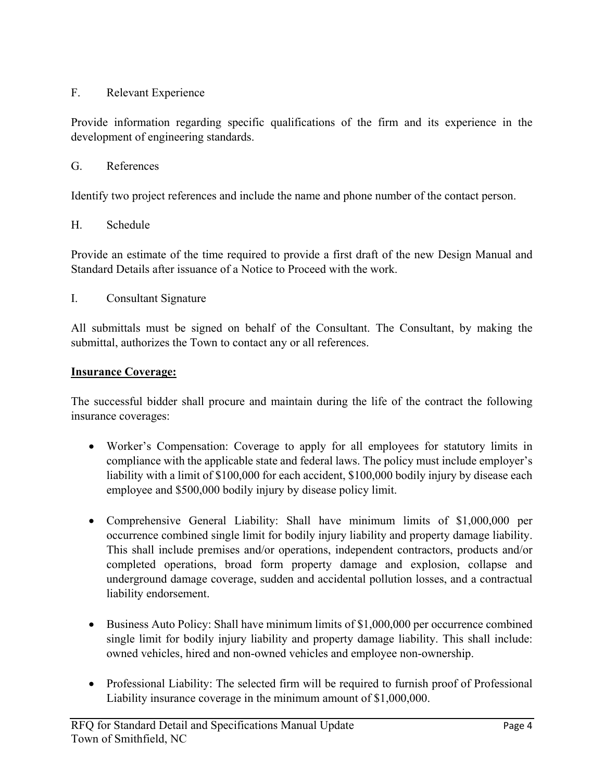# F. Relevant Experience

Provide information regarding specific qualifications of the firm and its experience in the development of engineering standards.

#### G. References

Identify two project references and include the name and phone number of the contact person.

#### H. Schedule

Provide an estimate of the time required to provide a first draft of the new Design Manual and Standard Details after issuance of a Notice to Proceed with the work.

I. Consultant Signature

All submittals must be signed on behalf of the Consultant. The Consultant, by making the submittal, authorizes the Town to contact any or all references.

#### **Insurance Coverage:**

The successful bidder shall procure and maintain during the life of the contract the following insurance coverages:

- Worker's Compensation: Coverage to apply for all employees for statutory limits in compliance with the applicable state and federal laws. The policy must include employer's liability with a limit of \$100,000 for each accident, \$100,000 bodily injury by disease each employee and \$500,000 bodily injury by disease policy limit.
- Comprehensive General Liability: Shall have minimum limits of \$1,000,000 per occurrence combined single limit for bodily injury liability and property damage liability. This shall include premises and/or operations, independent contractors, products and/or completed operations, broad form property damage and explosion, collapse and underground damage coverage, sudden and accidental pollution losses, and a contractual liability endorsement.
- Business Auto Policy: Shall have minimum limits of \$1,000,000 per occurrence combined single limit for bodily injury liability and property damage liability. This shall include: owned vehicles, hired and non-owned vehicles and employee non-ownership.
- Professional Liability: The selected firm will be required to furnish proof of Professional Liability insurance coverage in the minimum amount of \$1,000,000.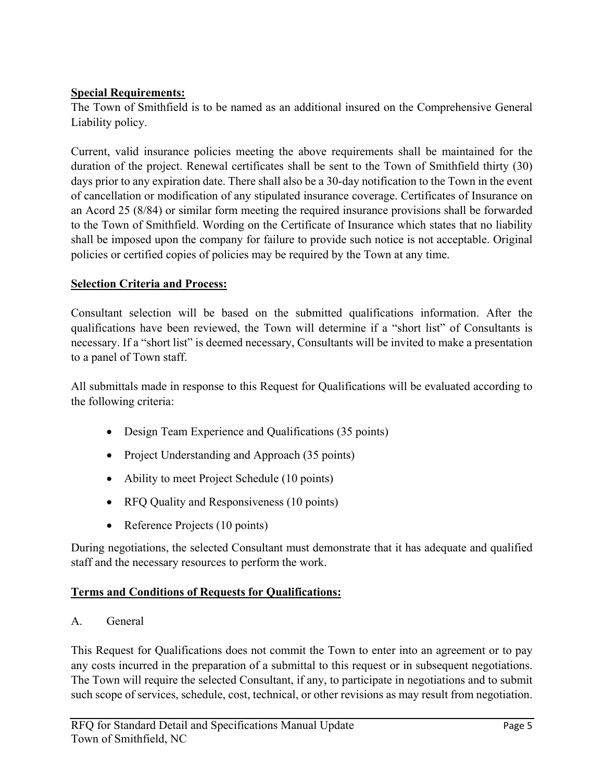### **Special Requirements:**

The Town of Smithfield is to be named as an additional insured on the Comprehensive General Liability policy.

Current, valid insurance policies meeting the above requirements shall be maintained for the duration of the project. Renewal certificates shall be sent to the Town of Smithfield thirty (30) days prior to any expiration date. There shall also be a 30-day notification to the Town in the event of cancellation or modification of any stipulated insurance coverage. Certificates of Insurance on an Acord 25 (8/84) or similar form meeting the required insurance provisions shall be forwarded to the Town of Smithfield. Wording on the Certificate of Insurance which states that no liability shall be imposed upon the company for failure to provide such notice is not acceptable. Original policies or certified copies of policies may be required by the Town at any time.

#### **Selection Criteria and Process:**

Consultant selection will be based on the submitted qualifications information. After the qualifications have been reviewed, the Town will determine if a "short list" of Consultants is necessary. If a "short list" is deemed necessary, Consultants will be invited to make a presentation to a panel of Town staff.

All submittals made in response to this Request for Qualifications will be evaluated according to the following criteria:

- Design Team Experience and Qualifications (35 points)
- Project Understanding and Approach (35 points)
- Ability to meet Project Schedule (10 points)
- RFQ Quality and Responsiveness (10 points)
- Reference Projects (10 points)

During negotiations, the selected Consultant must demonstrate that it has adequate and qualified staff and the necessary resources to perform the work.

# **Terms and Conditions of Requests for Qualifications:**

A. General

This Request for Qualifications does not commit the Town to enter into an agreement or to pay any costs incurred in the preparation of a submittal to this request or in subsequent negotiations. The Town will require the selected Consultant, if any, to participate in negotiations and to submit such scope of services, schedule, cost, technical, or other revisions as may result from negotiation.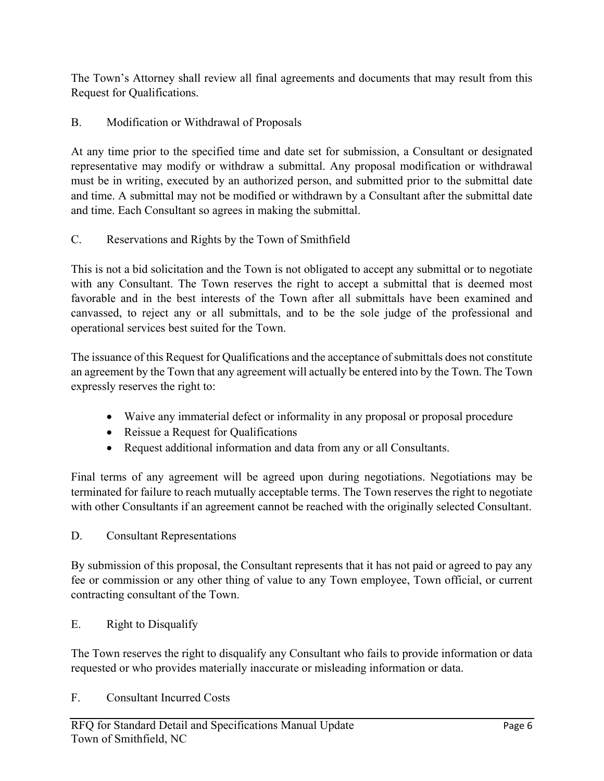The Town's Attorney shall review all final agreements and documents that may result from this Request for Qualifications.

B. Modification or Withdrawal of Proposals

At any time prior to the specified time and date set for submission, a Consultant or designated representative may modify or withdraw a submittal. Any proposal modification or withdrawal must be in writing, executed by an authorized person, and submitted prior to the submittal date and time. A submittal may not be modified or withdrawn by a Consultant after the submittal date and time. Each Consultant so agrees in making the submittal.

# C. Reservations and Rights by the Town of Smithfield

This is not a bid solicitation and the Town is not obligated to accept any submittal or to negotiate with any Consultant. The Town reserves the right to accept a submittal that is deemed most favorable and in the best interests of the Town after all submittals have been examined and canvassed, to reject any or all submittals, and to be the sole judge of the professional and operational services best suited for the Town.

The issuance of this Request for Qualifications and the acceptance of submittals does not constitute an agreement by the Town that any agreement will actually be entered into by the Town. The Town expressly reserves the right to:

- Waive any immaterial defect or informality in any proposal or proposal procedure
- Reissue a Request for Qualifications
- Request additional information and data from any or all Consultants.

Final terms of any agreement will be agreed upon during negotiations. Negotiations may be terminated for failure to reach mutually acceptable terms. The Town reserves the right to negotiate with other Consultants if an agreement cannot be reached with the originally selected Consultant.

# D. Consultant Representations

By submission of this proposal, the Consultant represents that it has not paid or agreed to pay any fee or commission or any other thing of value to any Town employee, Town official, or current contracting consultant of the Town.

E. Right to Disqualify

The Town reserves the right to disqualify any Consultant who fails to provide information or data requested or who provides materially inaccurate or misleading information or data.

F. Consultant Incurred Costs